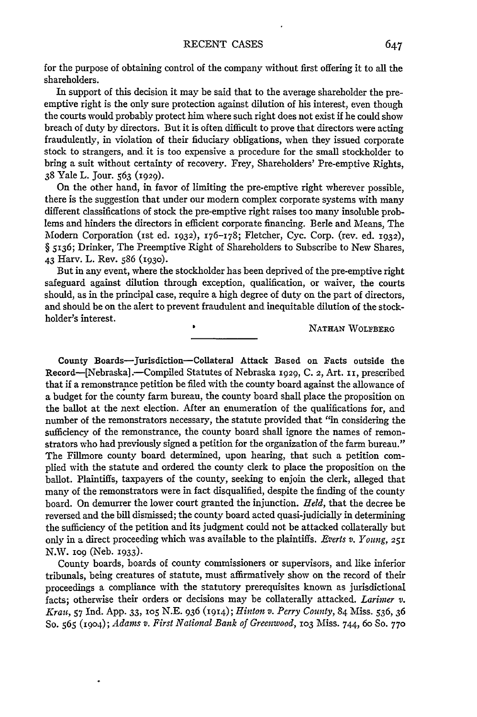for the purpose of obtaining control of the company without first offering it to all the shareholders.

In support of this decision it may be said that to the average shareholder the preemptive right is the only sure protection against dilution of his interest, even though the courts would probably protect him where such right does not exist if he could show breach of duty by directors. But it is often difficult to prove that directors were acting fraudulently, in violation of their fiduciary obligations, when they issued corporate stock to strangers, and it is too expensive a procedure for the small stockholder to bring a suit without certainty of recovery. Frey, Shareholders' Pre-emptive Rights, 38 Yale L. Jour. 563 (1929).

On the other hand, in favor of limiting the pre-emptive right wherever possible, there is the suggestion that under our modern complex corporate systems with many different classifications of stock the pre-emptive right raises too many insoluble problems and hinders the directors in efficient corporate financing. Berle and Means, The Modem Corporation (ist ed. 1032), 176-178; Fletcher, Cyc. Corp. (rev. ed. **1932),** § 5136; Drinker, The Preemptive Right of Shareholders to Subscribe to New Shares, 43 Harv. L. Rev. 586 (1930).

But in any event, where the stockholder has been deprived of the pre-emptive right safeguard against dilution through exception, qualification, or waiver, the courts should, as in the principal case, require a high degree of duty on the part of directors, and should be on the alert to prevent fraudulent and inequitable dilution of the stockholder's interest.

**NATHAN WOLFBERG**

County Boards-Jurisdiction-Collateral Attack Based on Facts outside the Record-[Nebraskal.-Compiled Statutes of Nebraska 1929, **C.** 2, Art. ii, prescribed that if a remonstrance petition be filed with the county board against the allowance of a budget for the county farm bureau, the county board shall place the proposition on the ballot at the next election. After an enumeration of the qualifications for, and number of the remonstrators necessary, the statute provided that "in considering the sufficiency of the remonstrance, the county board shall ignore the names of remonstrators who had previously signed a petition for the organization of the farm bureau." The Fillmore county board determined, upon hearing, that such a petition complied with the statute and ordered the county clerk to place the proposition on the ballot. Plaintiffs, taxpayers of the county, seeking to enjoin the clerk, alleged that many of the remonstrators were in fact disqualified, despite the finding of the county board. On demurrer the lower court granted the injunction. *Held,* that the decree be reversed and the bill dismissed; the county board acted quasi-judicially in determining the sufficiency of the petition and its judgment could not be attacked collaterally but only in a direct proceeding which was available to the plaintiffs. *Everts v. Young, 251* N.W. **1O9** (Neb. **1933).**

County boards, boards of county commissioners or supervisors, and like inferior tribunals, being creatures of statute, must affirmatively show on the record of their proceedings a compliance with the statutory prerequisites known as jurisdictional facts; otherwise their orders or decisions may be collaterally attacked. *Larimer v. Krau,* **57** Ind. App. 33, io5 N.E. 936 **(1914);** *Hinton v. Perry County,* 84 Miss. 536, 36 So. **565 (1904);** *Adams v. First National Bank of Greenwood,* **103** Miss. 744, 6o So. **770**